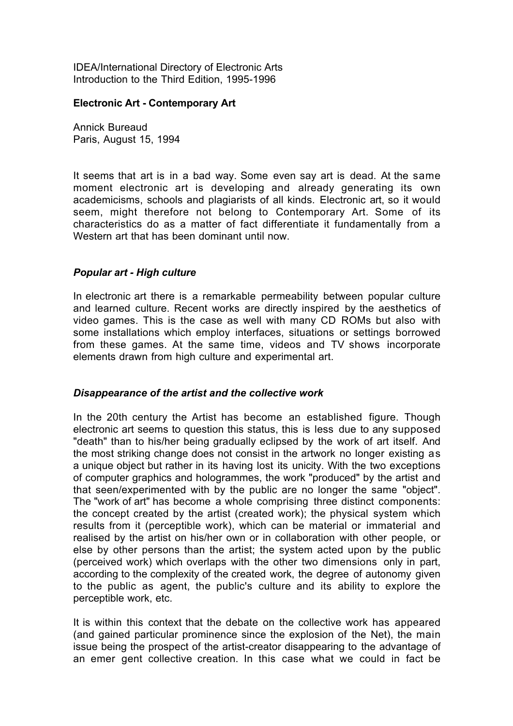IDEA/International Directory of Electronic Arts Introduction to the Third Edition, 1995-1996

## **Electronic Art - Contemporary Art**

Annick Bureaud Paris, August 15, 1994

It seems that art is in a bad way. Some even say art is dead. At the same moment electronic art is developing and already generating its own academicisms, schools and plagiarists of all kinds. Electronic art, so it would seem, might therefore not belong to Contemporary Art. Some of its characteristics do as a matter of fact differentiate it fundamentally from a Western art that has been dominant until now.

## *Popular art - High culture*

In electronic art there is a remarkable permeability between popular culture and learned culture. Recent works are directly inspired by the aesthetics of video games. This is the case as well with many CD ROMs but also with some installations which employ interfaces, situations or settings borrowed from these games. At the same time, videos and TV shows incorporate elements drawn from high culture and experimental art.

## *Disappearance of the artist and the collective work*

In the 20th century the Artist has become an established figure. Though electronic art seems to question this status, this is less due to any supposed "death" than to his/her being gradually eclipsed by the work of art itself. And the most striking change does not consist in the artwork no longer existing as a unique object but rather in its having lost its unicity. With the two exceptions of computer graphics and hologrammes, the work "produced" by the artist and that seen/experimented with by the public are no longer the same "object". The "work of art" has become a whole comprising three distinct components: the concept created by the artist (created work); the physical system which results from it (perceptible work), which can be material or immaterial and realised by the artist on his/her own or in collaboration with other people, or else by other persons than the artist; the system acted upon by the public (perceived work) which overlaps with the other two dimensions only in part, according to the complexity of the created work, the degree of autonomy given to the public as agent, the public's culture and its ability to explore the perceptible work, etc.

It is within this context that the debate on the collective work has appeared (and gained particular prominence since the explosion of the Net), the main issue being the prospect of the artist-creator disappearing to the advantage of an emer gent collective creation. In this case what we could in fact be